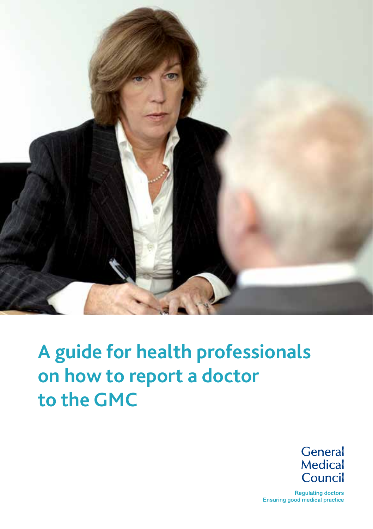

# **A guide for health professionals on how to report a doctor to the GMC**

**General** Medical Council

**Regulating doctors** Ensuring good medical practice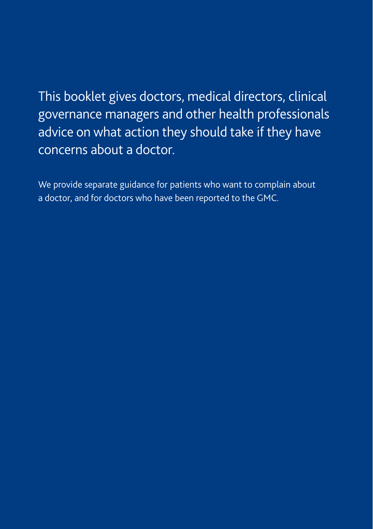This booklet gives doctors, medical directors, clinical governance managers and other health professionals advice on what action they should take if they have concerns about a doctor.

We provide separate guidance for patients who want to complain about a doctor, and for doctors who have been reported to the GMC.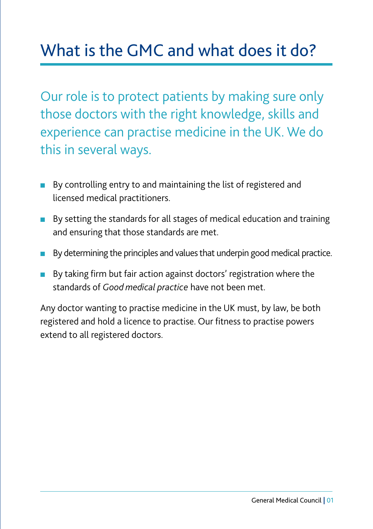## What is the GMC and what does it do?

Our role is to protect patients by making sure only those doctors with the right knowledge, skills and experience can practise medicine in the UK. We do this in several ways.

- By controlling entry to and maintaining the list of registered and licensed medical practitioners.
- By setting the standards for all stages of medical education and training and ensuring that those standards are met.
- By determining the principles and values that underpin good medical practice.
- By taking firm but fair action against doctors' registration where the standards of *Good medical practice* have not been met.

Any doctor wanting to practise medicine in the UK must, by law, be both registered and hold a licence to practise. Our fitness to practise powers extend to all registered doctors.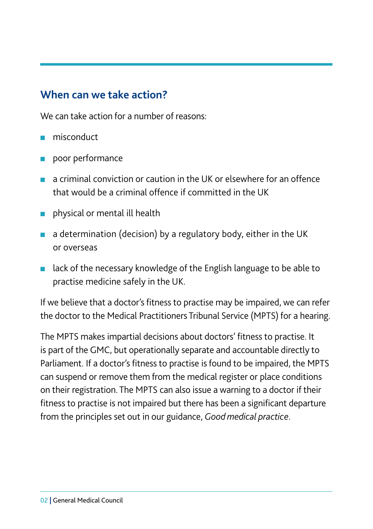#### **When can we take action?**

We can take action for a number of reasons:

- misconduct
- poor performance
- $\blacksquare$  a criminal conviction or caution in the UK or elsewhere for an offence that would be a criminal offence if committed in the UK
- physical or mental ill health
- a determination (decision) by a regulatory body, either in the UK or overseas
- lack of the necessary knowledge of the English language to be able to practise medicine safely in the UK.

If we believe that a doctor's fitness to practise may be impaired, we can refer the doctor to the Medical Practitioners Tribunal Service (MPTS) for a hearing.

The MPTS makes impartial decisions about doctors' fitness to practise. It is part of the GMC, but operationally separate and accountable directly to Parliament. If a doctor's fitness to practise is found to be impaired, the MPTS can suspend or remove them from the medical register or place conditions on their registration. The MPTS can also issue a warning to a doctor if their fitness to practise is not impaired but there has been a significant departure from the principles set out in our guidance, *Good medical practice*.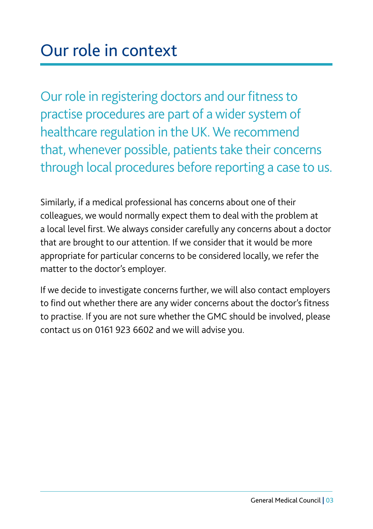Our role in registering doctors and our fitness to practise procedures are part of a wider system of healthcare regulation in the UK. We recommend that, whenever possible, patients take their concerns through local procedures before reporting a case to us.

Similarly, if a medical professional has concerns about one of their colleagues, we would normally expect them to deal with the problem at a local level first. We always consider carefully any concerns about a doctor that are brought to our attention. If we consider that it would be more appropriate for particular concerns to be considered locally, we refer the matter to the doctor's employer.

If we decide to investigate concerns further, we will also contact employers to find out whether there are any wider concerns about the doctor's fitness to practise. If you are not sure whether the GMC should be involved, please contact us on 0161 923 6602 and we will advise you.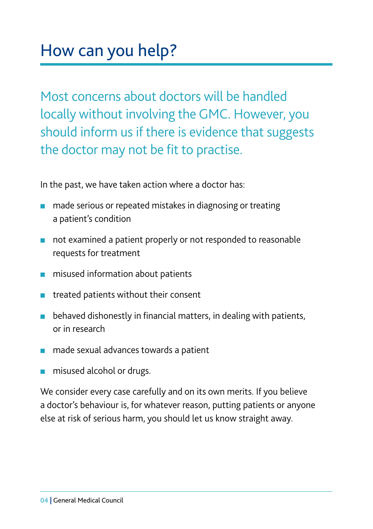Most concerns about doctors will be handled locally without involving the GMC. However, you should inform us if there is evidence that suggests the doctor may not be fit to practise.

In the past, we have taken action where a doctor has:

- made serious or repeated mistakes in diagnosing or treating a patient's condition
- not examined a patient properly or not responded to reasonable requests for treatment
- misused information about patients
- treated patients without their consent
- behaved dishonestly in financial matters, in dealing with patients, or in research
- made sexual advances towards a patient
- misused alcohol or drugs.

We consider every case carefully and on its own merits. If you believe a doctor's behaviour is, for whatever reason, putting patients or anyone else at risk of serious harm, you should let us know straight away.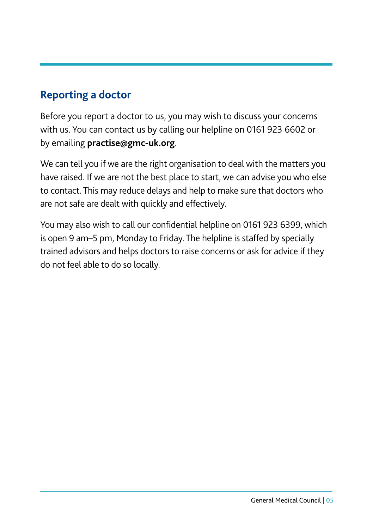#### **Reporting a doctor**

Before you report a doctor to us, you may wish to discuss your concerns with us. You can contact us by calling our helpline on 0161 923 6602 or by emailing **practise@gmc-uk.org**.

We can tell you if we are the right organisation to deal with the matters you have raised. If we are not the best place to start, we can advise you who else to contact. This may reduce delays and help to make sure that doctors who are not safe are dealt with quickly and effectively.

You may also wish to call our confidential helpline on 0161 923 6399, which is open 9 am–5 pm, Monday to Friday. The helpline is staffed by specially trained advisors and helps doctors to raise concerns or ask for advice if they do not feel able to do so locally.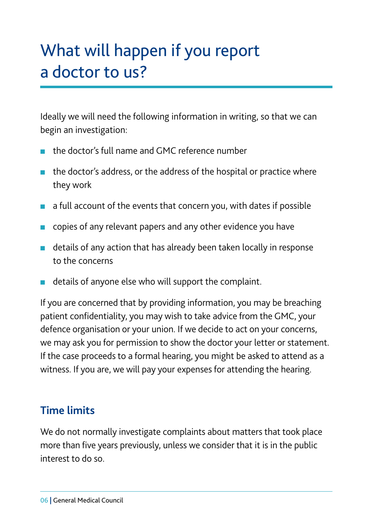## What will happen if you report a doctor to us?

Ideally we will need the following information in writing, so that we can begin an investigation:

- the doctor's full name and GMC reference number
- the doctor's address, or the address of the hospital or practice where they work
- a full account of the events that concern you, with dates if possible
- copies of any relevant papers and any other evidence you have
- details of any action that has already been taken locally in response to the concerns
- details of anyone else who will support the complaint.

If you are concerned that by providing information, you may be breaching patient confidentiality, you may wish to take advice from the GMC, your defence organisation or your union. If we decide to act on your concerns, we may ask you for permission to show the doctor your letter or statement. If the case proceeds to a formal hearing, you might be asked to attend as a witness. If you are, we will pay your expenses for attending the hearing.

#### **Time limits**

We do not normally investigate complaints about matters that took place more than five years previously, unless we consider that it is in the public interest to do so.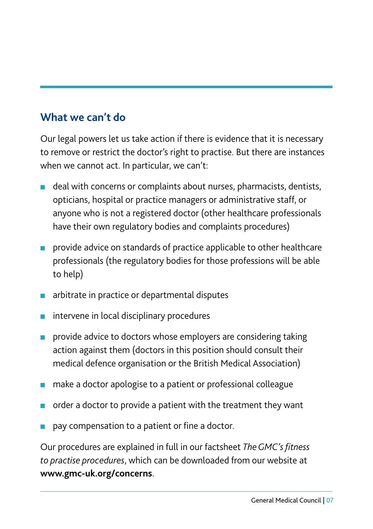#### **What we can't do**

Our legal powers let us take action if there is evidence that it is necessary to remove or restrict the doctor's right to practise. But there are instances when we cannot act. In particular, we can't:

- deal with concerns or complaints about nurses, pharmacists, dentists, opticians, hospital or practice managers or administrative staff, or anyone who is not a registered doctor (other healthcare professionals have their own regulatory bodies and complaints procedures)
- provide advice on standards of practice applicable to other healthcare professionals (the regulatory bodies for those professions will be able to help)
- arbitrate in practice or departmental disputes
- intervene in local disciplinary procedures
- provide advice to doctors whose employers are considering taking action against them (doctors in this position should consult their medical defence organisation or the British Medical Association)
- make a doctor apologise to a patient or professional colleague
- order a doctor to provide a patient with the treatment they want
- pay compensation to a patient or fine a doctor.

Our procedures are explained in full in our factsheet *The GMC's fitness to practise procedures*, which can be downloaded from our website at **www.gmc-uk.org/concerns**.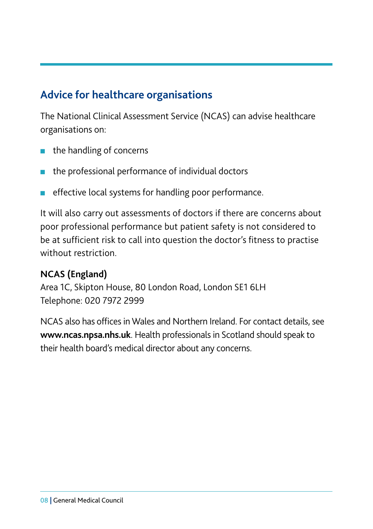#### **Advice for healthcare organisations**

The National Clinical Assessment Service (NCAS) can advise healthcare organisations on:

- the handling of concerns
- the professional performance of individual doctors
- effective local systems for handling poor performance.

It will also carry out assessments of doctors if there are concerns about poor professional performance but patient safety is not considered to be at sufficient risk to call into question the doctor's fitness to practise without restriction.

#### **NCAS (England)**

Area 1C, Skipton House, 80 London Road, London SE1 6LH Telephone: 020 7972 2999

NCAS also has offices in Wales and Northern Ireland. For contact details, see **www.ncas.npsa.nhs.uk**. Health professionals in Scotland should speak to their health board's medical director about any concerns.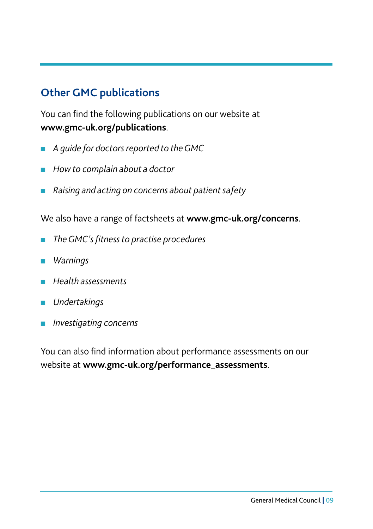#### **Other GMC publications**

You can find the following publications on our website at **www.gmc-uk.org/publications**.

- *A quide for doctors reported to the GMC*
- *How to complain about a doctor*
- *Raising and acting on concerns about patient safety*

We also have a range of factsheets at **www.gmc-uk.org/concerns**.

- *The GMC's fitness to practise procedures*
- *Warnings*
- *Health assessments*
- *Undertakings*
- *Investigating concerns*

You can also find information about performance assessments on our website at **www.gmc-uk.org/performance\_assessments**.